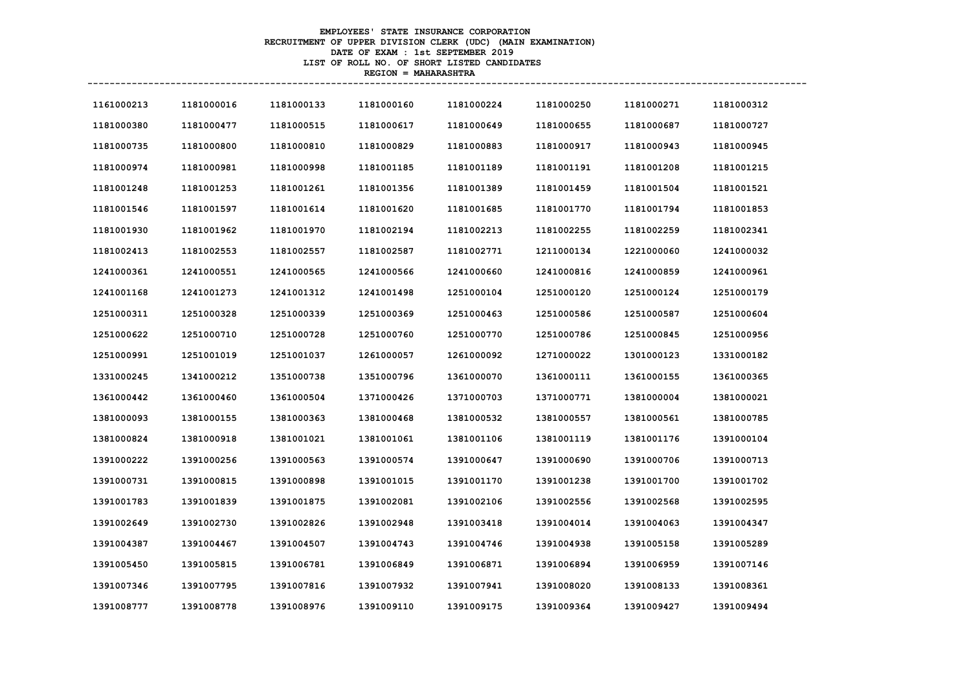## **EMPLOYEES' STATE INSURANCE CORPORATION RECRUITMENT OF UPPER DIVISION CLERK (UDC) (MAIN EXAMINATION) DATE OF EXAM : 1st SEPTEMBER 2019 LIST OF ROLL NO. OF SHORT LISTED CANDIDATES REGION = MAHARASHTRA**

**----------------------------------------------------------------------------------------------------------------------------------**

| 1161000213 | 1181000016 | 1181000133 | 1181000160 | 1181000224 | 1181000250 | 1181000271 | 1181000312 |
|------------|------------|------------|------------|------------|------------|------------|------------|
| 1181000380 | 1181000477 | 1181000515 | 1181000617 | 1181000649 | 1181000655 | 1181000687 | 1181000727 |
| 1181000735 | 1181000800 | 1181000810 | 1181000829 | 1181000883 | 1181000917 | 1181000943 | 1181000945 |
| 1181000974 | 1181000981 | 1181000998 | 1181001185 | 1181001189 | 1181001191 | 1181001208 | 1181001215 |
| 1181001248 | 1181001253 | 1181001261 | 1181001356 | 1181001389 | 1181001459 | 1181001504 | 1181001521 |
| 1181001546 | 1181001597 | 1181001614 | 1181001620 | 1181001685 | 1181001770 | 1181001794 | 1181001853 |
| 1181001930 | 1181001962 | 1181001970 | 1181002194 | 1181002213 | 1181002255 | 1181002259 | 1181002341 |
| 1181002413 | 1181002553 | 1181002557 | 1181002587 | 1181002771 | 1211000134 | 1221000060 | 1241000032 |
| 1241000361 | 1241000551 | 1241000565 | 1241000566 | 1241000660 | 1241000816 | 1241000859 | 1241000961 |
| 1241001168 | 1241001273 | 1241001312 | 1241001498 | 1251000104 | 1251000120 | 1251000124 | 1251000179 |
| 1251000311 | 1251000328 | 1251000339 | 1251000369 | 1251000463 | 1251000586 | 1251000587 | 1251000604 |
| 1251000622 | 1251000710 | 1251000728 | 1251000760 | 1251000770 | 1251000786 | 1251000845 | 1251000956 |
| 1251000991 | 1251001019 | 1251001037 | 1261000057 | 1261000092 | 1271000022 | 1301000123 | 1331000182 |
| 1331000245 | 1341000212 | 1351000738 | 1351000796 | 1361000070 | 1361000111 | 1361000155 | 1361000365 |
| 1361000442 | 1361000460 | 1361000504 | 1371000426 | 1371000703 | 1371000771 | 1381000004 | 1381000021 |
| 1381000093 | 1381000155 | 1381000363 | 1381000468 | 1381000532 | 1381000557 | 1381000561 | 1381000785 |
| 1381000824 | 1381000918 | 1381001021 | 1381001061 | 1381001106 | 1381001119 | 1381001176 | 1391000104 |
| 1391000222 | 1391000256 | 1391000563 | 1391000574 | 1391000647 | 1391000690 | 1391000706 | 1391000713 |
| 1391000731 | 1391000815 | 1391000898 | 1391001015 | 1391001170 | 1391001238 | 1391001700 | 1391001702 |
| 1391001783 | 1391001839 | 1391001875 | 1391002081 | 1391002106 | 1391002556 | 1391002568 | 1391002595 |
| 1391002649 | 1391002730 | 1391002826 | 1391002948 | 1391003418 | 1391004014 | 1391004063 | 1391004347 |
| 1391004387 | 1391004467 | 1391004507 | 1391004743 | 1391004746 | 1391004938 | 1391005158 | 1391005289 |
| 1391005450 | 1391005815 | 1391006781 | 1391006849 | 1391006871 | 1391006894 | 1391006959 | 1391007146 |
| 1391007346 | 1391007795 | 1391007816 | 1391007932 | 1391007941 | 1391008020 | 1391008133 | 1391008361 |
| 1391008777 | 1391008778 | 1391008976 | 1391009110 | 1391009175 | 1391009364 | 1391009427 | 1391009494 |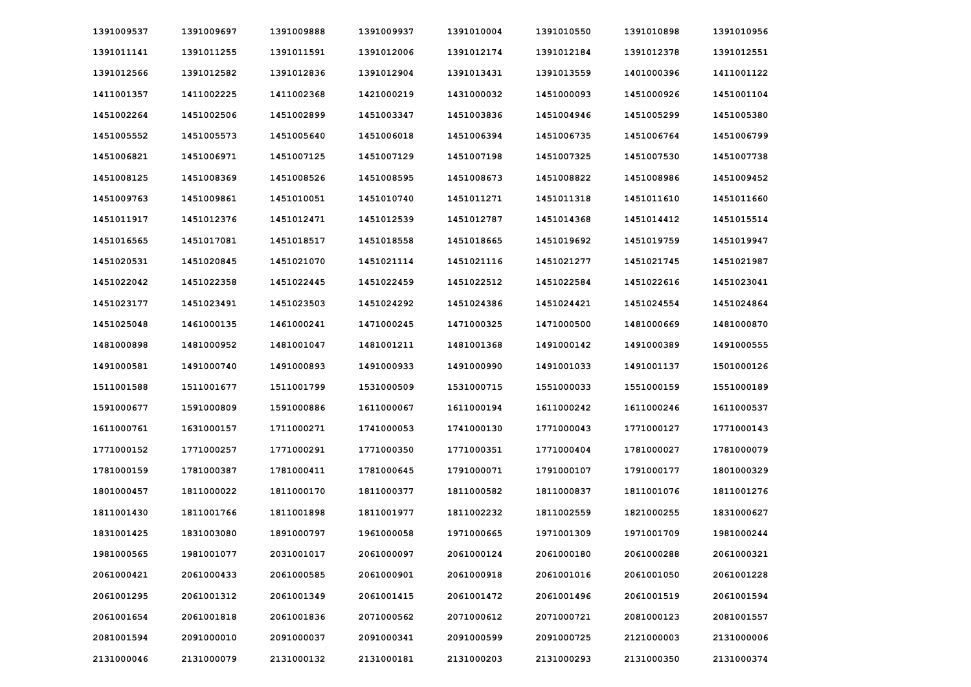| 1391009537 | 1391009697 | 1391009888 | 1391009937 | 1391010004 | 1391010550 | 1391010898 | 1391010956 |
|------------|------------|------------|------------|------------|------------|------------|------------|
| 1391011141 | 1391011255 | 1391011591 | 1391012006 | 1391012174 | 1391012184 | 1391012378 | 1391012551 |
| 1391012566 | 1391012582 | 1391012836 | 1391012904 | 1391013431 | 1391013559 | 1401000396 | 1411001122 |
| 1411001357 | 1411002225 | 1411002368 | 1421000219 | 1431000032 | 1451000093 | 1451000926 | 1451001104 |
| 1451002264 | 1451002506 | 1451002899 | 1451003347 | 1451003836 | 1451004946 | 1451005299 | 1451005380 |
| 1451005552 | 1451005573 | 1451005640 | 1451006018 | 1451006394 | 1451006735 | 1451006764 | 1451006799 |
| 1451006821 | 1451006971 | 1451007125 | 1451007129 | 1451007198 | 1451007325 | 1451007530 | 1451007738 |
| 1451008125 | 1451008369 | 1451008526 | 1451008595 | 1451008673 | 1451008822 | 1451008986 | 1451009452 |
| 1451009763 | 1451009861 | 1451010051 | 1451010740 | 1451011271 | 1451011318 | 1451011610 | 1451011660 |
| 1451011917 | 1451012376 | 1451012471 | 1451012539 | 1451012787 | 1451014368 | 1451014412 | 1451015514 |
| 1451016565 | 1451017081 | 1451018517 | 1451018558 | 1451018665 | 1451019692 | 1451019759 | 1451019947 |
| 1451020531 | 1451020845 | 1451021070 | 1451021114 | 1451021116 | 1451021277 | 1451021745 | 1451021987 |
| 1451022042 | 1451022358 | 1451022445 | 1451022459 | 1451022512 | 1451022584 | 1451022616 | 1451023041 |
| 1451023177 | 1451023491 | 1451023503 | 1451024292 | 1451024386 | 1451024421 | 1451024554 | 1451024864 |
| 1451025048 | 1461000135 | 1461000241 | 1471000245 | 1471000325 | 1471000500 | 1481000669 | 1481000870 |
| 1481000898 | 1481000952 | 1481001047 | 1481001211 | 1481001368 | 1491000142 | 1491000389 | 1491000555 |
| 1491000581 | 1491000740 | 1491000893 | 1491000933 | 1491000990 | 1491001033 | 1491001137 | 1501000126 |
| 1511001588 | 1511001677 | 1511001799 | 1531000509 | 1531000715 | 1551000033 | 1551000159 | 1551000189 |
| 1591000677 | 1591000809 | 1591000886 | 1611000067 | 1611000194 | 1611000242 | 1611000246 | 1611000537 |
| 1611000761 | 1631000157 | 1711000271 | 1741000053 | 1741000130 | 1771000043 | 1771000127 | 1771000143 |
| 1771000152 | 1771000257 | 1771000291 | 1771000350 | 1771000351 | 1771000404 | 1781000027 | 1781000079 |
| 1781000159 | 1781000387 | 1781000411 | 1781000645 | 1791000071 | 1791000107 | 1791000177 | 1801000329 |
| 1801000457 | 1811000022 | 1811000170 | 1811000377 | 1811000582 | 1811000837 | 1811001076 | 1811001276 |
| 1811001430 | 1811001766 | 1811001898 | 1811001977 | 1811002232 | 1811002559 | 1821000255 | 1831000627 |
| 1831001425 | 1831003080 | 1891000797 | 1961000058 | 1971000665 | 1971001309 | 1971001709 | 1981000244 |
| 1981000565 | 1981001077 | 2031001017 | 2061000097 | 2061000124 | 2061000180 | 2061000288 | 2061000321 |
| 2061000421 | 2061000433 | 2061000585 | 2061000901 | 2061000918 | 2061001016 | 2061001050 | 2061001228 |
| 2061001295 | 2061001312 | 2061001349 | 2061001415 | 2061001472 | 2061001496 | 2061001519 | 2061001594 |
| 2061001654 | 2061001818 | 2061001836 | 2071000562 | 2071000612 | 2071000721 | 2081000123 | 2081001557 |
| 2081001594 | 2091000010 | 2091000037 | 2091000341 | 2091000599 | 2091000725 | 2121000003 | 2131000006 |
| 2131000046 | 2131000079 | 2131000132 | 2131000181 | 2131000203 | 2131000293 | 2131000350 | 2131000374 |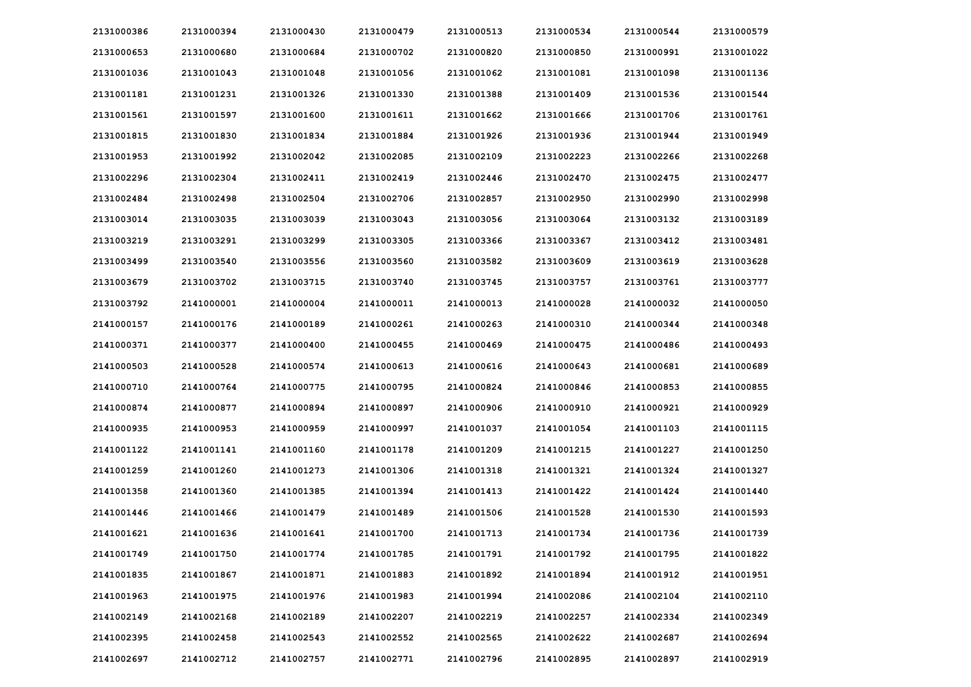| 2131000386 | 2131000394 | 2131000430 | 2131000479 | 2131000513 | 2131000534 | 2131000544 | 2131000579 |
|------------|------------|------------|------------|------------|------------|------------|------------|
| 2131000653 | 2131000680 | 2131000684 | 2131000702 | 2131000820 | 2131000850 | 2131000991 | 2131001022 |
| 2131001036 | 2131001043 | 2131001048 | 2131001056 | 2131001062 | 2131001081 | 2131001098 | 2131001136 |
| 2131001181 | 2131001231 | 2131001326 | 2131001330 | 2131001388 | 2131001409 | 2131001536 | 2131001544 |
| 2131001561 | 2131001597 | 2131001600 | 2131001611 | 2131001662 | 2131001666 | 2131001706 | 2131001761 |
| 2131001815 | 2131001830 | 2131001834 | 2131001884 | 2131001926 | 2131001936 | 2131001944 | 2131001949 |
| 2131001953 | 2131001992 | 2131002042 | 2131002085 | 2131002109 | 2131002223 | 2131002266 | 2131002268 |
| 2131002296 | 2131002304 | 2131002411 | 2131002419 | 2131002446 | 2131002470 | 2131002475 | 2131002477 |
| 2131002484 | 2131002498 | 2131002504 | 2131002706 | 2131002857 | 2131002950 | 2131002990 | 2131002998 |
| 2131003014 | 2131003035 | 2131003039 | 2131003043 | 2131003056 | 2131003064 | 2131003132 | 2131003189 |
| 2131003219 | 2131003291 | 2131003299 | 2131003305 | 2131003366 | 2131003367 | 2131003412 | 2131003481 |
| 2131003499 | 2131003540 | 2131003556 | 2131003560 | 2131003582 | 2131003609 | 2131003619 | 2131003628 |
| 2131003679 | 2131003702 | 2131003715 | 2131003740 | 2131003745 | 2131003757 | 2131003761 | 2131003777 |
| 2131003792 | 2141000001 | 2141000004 | 2141000011 | 2141000013 | 2141000028 | 2141000032 | 2141000050 |
| 2141000157 | 2141000176 | 2141000189 | 2141000261 | 2141000263 | 2141000310 | 2141000344 | 2141000348 |
| 2141000371 | 2141000377 | 2141000400 | 2141000455 | 2141000469 | 2141000475 | 2141000486 | 2141000493 |
| 2141000503 | 2141000528 | 2141000574 | 2141000613 | 2141000616 | 2141000643 | 2141000681 | 2141000689 |
| 2141000710 | 2141000764 | 2141000775 | 2141000795 | 2141000824 | 2141000846 | 2141000853 | 2141000855 |
| 2141000874 | 2141000877 | 2141000894 | 2141000897 | 2141000906 | 2141000910 | 2141000921 | 2141000929 |
| 2141000935 | 2141000953 | 2141000959 | 2141000997 | 2141001037 | 2141001054 | 2141001103 | 2141001115 |
| 2141001122 | 2141001141 | 2141001160 | 2141001178 | 2141001209 | 2141001215 | 2141001227 | 2141001250 |
| 2141001259 | 2141001260 | 2141001273 | 2141001306 | 2141001318 | 2141001321 | 2141001324 | 2141001327 |
| 2141001358 | 2141001360 | 2141001385 | 2141001394 | 2141001413 | 2141001422 | 2141001424 | 2141001440 |
| 2141001446 | 2141001466 | 2141001479 | 2141001489 | 2141001506 | 2141001528 | 2141001530 | 2141001593 |
| 2141001621 | 2141001636 | 2141001641 | 2141001700 | 2141001713 | 2141001734 | 2141001736 | 2141001739 |
| 2141001749 | 2141001750 | 2141001774 | 2141001785 | 2141001791 | 2141001792 | 2141001795 | 2141001822 |
| 2141001835 | 2141001867 | 2141001871 | 2141001883 | 2141001892 | 2141001894 | 2141001912 | 2141001951 |
| 2141001963 | 2141001975 | 2141001976 | 2141001983 | 2141001994 | 2141002086 | 2141002104 | 2141002110 |
| 2141002149 | 2141002168 | 2141002189 | 2141002207 | 2141002219 | 2141002257 | 2141002334 | 2141002349 |
| 2141002395 | 2141002458 | 2141002543 | 2141002552 | 2141002565 | 2141002622 | 2141002687 | 2141002694 |
| 2141002697 | 2141002712 | 2141002757 | 2141002771 | 2141002796 | 2141002895 | 2141002897 | 2141002919 |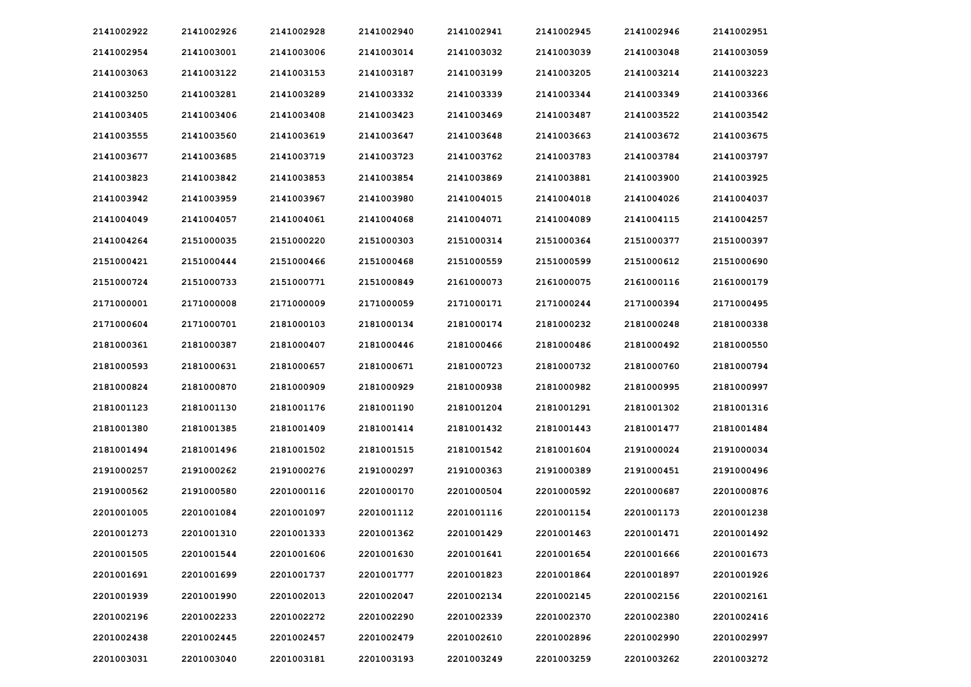| 2141002922 | 2141002926 | 2141002928 | 2141002940 | 2141002941 | 2141002945 | 2141002946 | 2141002951 |
|------------|------------|------------|------------|------------|------------|------------|------------|
| 2141002954 | 2141003001 | 2141003006 | 2141003014 | 2141003032 | 2141003039 | 2141003048 | 2141003059 |
| 2141003063 | 2141003122 | 2141003153 | 2141003187 | 2141003199 | 2141003205 | 2141003214 | 2141003223 |
| 2141003250 | 2141003281 | 2141003289 | 2141003332 | 2141003339 | 2141003344 | 2141003349 | 2141003366 |
| 2141003405 | 2141003406 | 2141003408 | 2141003423 | 2141003469 | 2141003487 | 2141003522 | 2141003542 |
| 2141003555 | 2141003560 | 2141003619 | 2141003647 | 2141003648 | 2141003663 | 2141003672 | 2141003675 |
| 2141003677 | 2141003685 | 2141003719 | 2141003723 | 2141003762 | 2141003783 | 2141003784 | 2141003797 |
| 2141003823 | 2141003842 | 2141003853 | 2141003854 | 2141003869 | 2141003881 | 2141003900 | 2141003925 |
| 2141003942 | 2141003959 | 2141003967 | 2141003980 | 2141004015 | 2141004018 | 2141004026 | 2141004037 |
| 2141004049 | 2141004057 | 2141004061 | 2141004068 | 2141004071 | 2141004089 | 2141004115 | 2141004257 |
| 2141004264 | 2151000035 | 2151000220 | 2151000303 | 2151000314 | 2151000364 | 2151000377 | 2151000397 |
| 2151000421 | 2151000444 | 2151000466 | 2151000468 | 2151000559 | 2151000599 | 2151000612 | 2151000690 |
| 2151000724 | 2151000733 | 2151000771 | 2151000849 | 2161000073 | 2161000075 | 2161000116 | 2161000179 |
| 2171000001 | 2171000008 | 2171000009 | 2171000059 | 2171000171 | 2171000244 | 2171000394 | 2171000495 |
| 2171000604 | 2171000701 | 2181000103 | 2181000134 | 2181000174 | 2181000232 | 2181000248 | 2181000338 |
| 2181000361 | 2181000387 | 2181000407 | 2181000446 | 2181000466 | 2181000486 | 2181000492 | 2181000550 |
| 2181000593 | 2181000631 | 2181000657 | 2181000671 | 2181000723 | 2181000732 | 2181000760 | 2181000794 |
| 2181000824 | 2181000870 | 2181000909 | 2181000929 | 2181000938 | 2181000982 | 2181000995 | 2181000997 |
| 2181001123 | 2181001130 | 2181001176 | 2181001190 | 2181001204 | 2181001291 | 2181001302 | 2181001316 |
| 2181001380 | 2181001385 | 2181001409 | 2181001414 | 2181001432 | 2181001443 | 2181001477 | 2181001484 |
| 2181001494 | 2181001496 | 2181001502 | 2181001515 | 2181001542 | 2181001604 | 2191000024 | 2191000034 |
| 2191000257 | 2191000262 | 2191000276 | 2191000297 | 2191000363 | 2191000389 | 2191000451 | 2191000496 |
| 2191000562 | 2191000580 | 2201000116 | 2201000170 | 2201000504 | 2201000592 | 2201000687 | 2201000876 |
| 2201001005 | 2201001084 | 2201001097 | 2201001112 | 2201001116 | 2201001154 | 2201001173 | 2201001238 |
| 2201001273 | 2201001310 | 2201001333 | 2201001362 | 2201001429 | 2201001463 | 2201001471 | 2201001492 |
| 2201001505 | 2201001544 | 2201001606 | 2201001630 | 2201001641 | 2201001654 | 2201001666 | 2201001673 |
| 2201001691 | 2201001699 | 2201001737 | 2201001777 | 2201001823 | 2201001864 | 2201001897 | 2201001926 |
| 2201001939 | 2201001990 | 2201002013 | 2201002047 | 2201002134 | 2201002145 | 2201002156 | 2201002161 |
| 2201002196 | 2201002233 | 2201002272 | 2201002290 | 2201002339 | 2201002370 | 2201002380 | 2201002416 |
| 2201002438 | 2201002445 | 2201002457 | 2201002479 | 2201002610 | 2201002896 | 2201002990 | 2201002997 |
| 2201003031 | 2201003040 | 2201003181 | 2201003193 | 2201003249 | 2201003259 | 2201003262 | 2201003272 |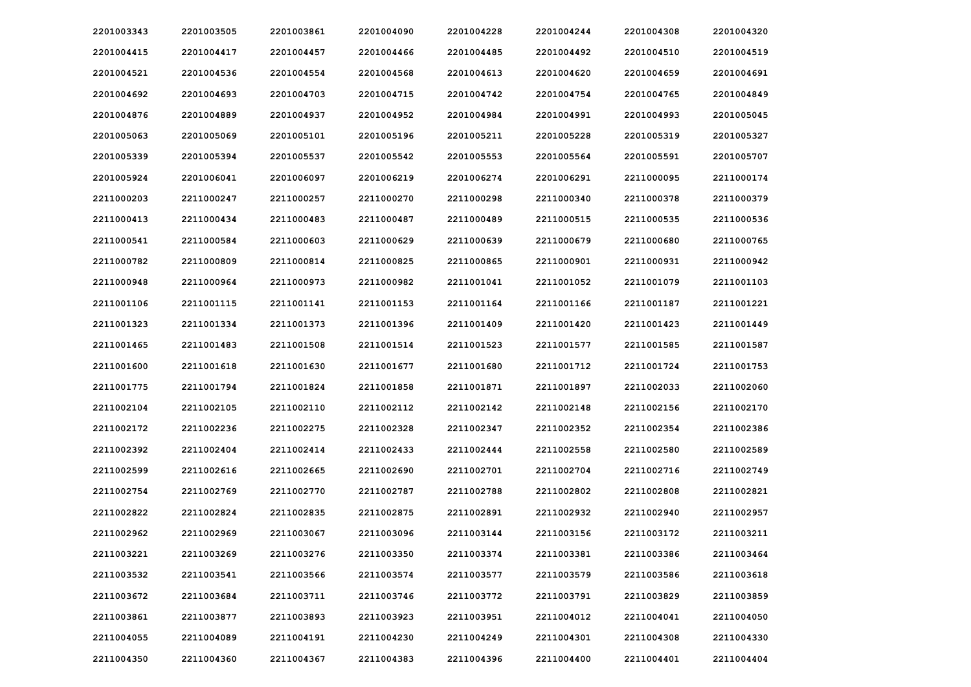| 2201003343 | 2201003505 | 2201003861 | 2201004090 | 2201004228 | 2201004244 | 2201004308 | 2201004320 |
|------------|------------|------------|------------|------------|------------|------------|------------|
| 2201004415 | 2201004417 | 2201004457 | 2201004466 | 2201004485 | 2201004492 | 2201004510 | 2201004519 |
| 2201004521 | 2201004536 | 2201004554 | 2201004568 | 2201004613 | 2201004620 | 2201004659 | 2201004691 |
| 2201004692 | 2201004693 | 2201004703 | 2201004715 | 2201004742 | 2201004754 | 2201004765 | 2201004849 |
| 2201004876 | 2201004889 | 2201004937 | 2201004952 | 2201004984 | 2201004991 | 2201004993 | 2201005045 |
| 2201005063 | 2201005069 | 2201005101 | 2201005196 | 2201005211 | 2201005228 | 2201005319 | 2201005327 |
| 2201005339 | 2201005394 | 2201005537 | 2201005542 | 2201005553 | 2201005564 | 2201005591 | 2201005707 |
| 2201005924 | 2201006041 | 2201006097 | 2201006219 | 2201006274 | 2201006291 | 2211000095 | 2211000174 |
| 2211000203 | 2211000247 | 2211000257 | 2211000270 | 2211000298 | 2211000340 | 2211000378 | 2211000379 |
| 2211000413 | 2211000434 | 2211000483 | 2211000487 | 2211000489 | 2211000515 | 2211000535 | 2211000536 |
| 2211000541 | 2211000584 | 2211000603 | 2211000629 | 2211000639 | 2211000679 | 2211000680 | 2211000765 |
| 2211000782 | 2211000809 | 2211000814 | 2211000825 | 2211000865 | 2211000901 | 2211000931 | 2211000942 |
| 2211000948 | 2211000964 | 2211000973 | 2211000982 | 2211001041 | 2211001052 | 2211001079 | 2211001103 |
| 2211001106 | 2211001115 | 2211001141 | 2211001153 | 2211001164 | 2211001166 | 2211001187 | 2211001221 |
| 2211001323 | 2211001334 | 2211001373 | 2211001396 | 2211001409 | 2211001420 | 2211001423 | 2211001449 |
| 2211001465 | 2211001483 | 2211001508 | 2211001514 | 2211001523 | 2211001577 | 2211001585 | 2211001587 |
| 2211001600 | 2211001618 | 2211001630 | 2211001677 | 2211001680 | 2211001712 | 2211001724 | 2211001753 |
| 2211001775 | 2211001794 | 2211001824 | 2211001858 | 2211001871 | 2211001897 | 2211002033 | 2211002060 |
| 2211002104 | 2211002105 | 2211002110 | 2211002112 | 2211002142 | 2211002148 | 2211002156 | 2211002170 |
| 2211002172 | 2211002236 | 2211002275 | 2211002328 | 2211002347 | 2211002352 | 2211002354 | 2211002386 |
| 2211002392 | 2211002404 | 2211002414 | 2211002433 | 2211002444 | 2211002558 | 2211002580 | 2211002589 |
| 2211002599 | 2211002616 | 2211002665 | 2211002690 | 2211002701 | 2211002704 | 2211002716 | 2211002749 |
| 2211002754 | 2211002769 | 2211002770 | 2211002787 | 2211002788 | 2211002802 | 2211002808 | 2211002821 |
| 2211002822 | 2211002824 | 2211002835 | 2211002875 | 2211002891 | 2211002932 | 2211002940 | 2211002957 |
| 2211002962 | 2211002969 | 2211003067 | 2211003096 | 2211003144 | 2211003156 | 2211003172 | 2211003211 |
| 2211003221 | 2211003269 | 2211003276 | 2211003350 | 2211003374 | 2211003381 | 2211003386 | 2211003464 |
| 2211003532 | 2211003541 | 2211003566 | 2211003574 | 2211003577 | 2211003579 | 2211003586 | 2211003618 |
| 2211003672 | 2211003684 | 2211003711 | 2211003746 | 2211003772 | 2211003791 | 2211003829 | 2211003859 |
| 2211003861 | 2211003877 | 2211003893 | 2211003923 | 2211003951 | 2211004012 | 2211004041 | 2211004050 |
| 2211004055 | 2211004089 | 2211004191 | 2211004230 | 2211004249 | 2211004301 | 2211004308 | 2211004330 |
| 2211004350 | 2211004360 | 2211004367 | 2211004383 | 2211004396 | 2211004400 | 2211004401 | 2211004404 |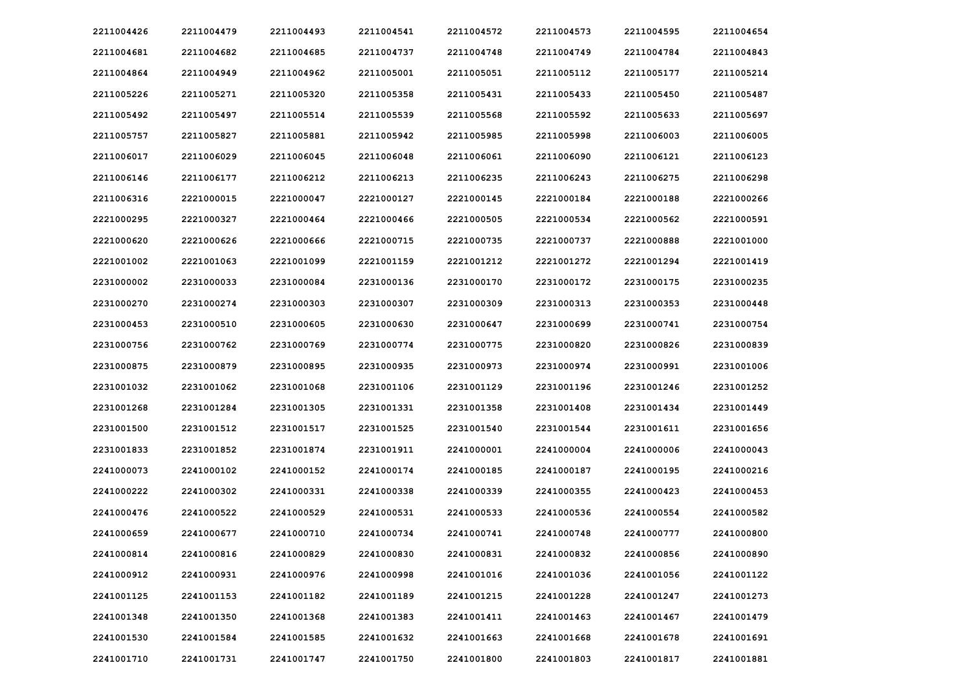| 2211004426 | 2211004479 | 2211004493 | 2211004541 | 2211004572 | 2211004573 | 2211004595 | 2211004654 |
|------------|------------|------------|------------|------------|------------|------------|------------|
| 2211004681 | 2211004682 | 2211004685 | 2211004737 | 2211004748 | 2211004749 | 2211004784 | 2211004843 |
| 2211004864 | 2211004949 | 2211004962 | 2211005001 | 2211005051 | 2211005112 | 2211005177 | 2211005214 |
| 2211005226 | 2211005271 | 2211005320 | 2211005358 | 2211005431 | 2211005433 | 2211005450 | 2211005487 |
| 2211005492 | 2211005497 | 2211005514 | 2211005539 | 2211005568 | 2211005592 | 2211005633 | 2211005697 |
| 2211005757 | 2211005827 | 2211005881 | 2211005942 | 2211005985 | 2211005998 | 2211006003 | 2211006005 |
| 2211006017 | 2211006029 | 2211006045 | 2211006048 | 2211006061 | 2211006090 | 2211006121 | 2211006123 |
| 2211006146 | 2211006177 | 2211006212 | 2211006213 | 2211006235 | 2211006243 | 2211006275 | 2211006298 |
| 2211006316 | 2221000015 | 2221000047 | 2221000127 | 2221000145 | 2221000184 | 2221000188 | 2221000266 |
| 2221000295 | 2221000327 | 2221000464 | 2221000466 | 2221000505 | 2221000534 | 2221000562 | 2221000591 |
| 2221000620 | 2221000626 | 2221000666 | 2221000715 | 2221000735 | 2221000737 | 2221000888 | 2221001000 |
| 2221001002 | 2221001063 | 2221001099 | 2221001159 | 2221001212 | 2221001272 | 2221001294 | 2221001419 |
| 2231000002 | 2231000033 | 2231000084 | 2231000136 | 2231000170 | 2231000172 | 2231000175 | 2231000235 |
| 2231000270 | 2231000274 | 2231000303 | 2231000307 | 2231000309 | 2231000313 | 2231000353 | 2231000448 |
| 2231000453 | 2231000510 | 2231000605 | 2231000630 | 2231000647 | 2231000699 | 2231000741 | 2231000754 |
| 2231000756 | 2231000762 | 2231000769 | 2231000774 | 2231000775 | 2231000820 | 2231000826 | 2231000839 |
| 2231000875 | 2231000879 | 2231000895 | 2231000935 | 2231000973 | 2231000974 | 2231000991 | 2231001006 |
| 2231001032 | 2231001062 | 2231001068 | 2231001106 | 2231001129 | 2231001196 | 2231001246 | 2231001252 |
| 2231001268 | 2231001284 | 2231001305 | 2231001331 | 2231001358 | 2231001408 | 2231001434 | 2231001449 |
| 2231001500 | 2231001512 | 2231001517 | 2231001525 | 2231001540 | 2231001544 | 2231001611 | 2231001656 |
| 2231001833 | 2231001852 | 2231001874 | 2231001911 | 2241000001 | 2241000004 | 2241000006 | 2241000043 |
| 2241000073 | 2241000102 | 2241000152 | 2241000174 | 2241000185 | 2241000187 | 2241000195 | 2241000216 |
| 2241000222 | 2241000302 | 2241000331 | 2241000338 | 2241000339 | 2241000355 | 2241000423 | 2241000453 |
| 2241000476 | 2241000522 | 2241000529 | 2241000531 | 2241000533 | 2241000536 | 2241000554 | 2241000582 |
| 2241000659 | 2241000677 | 2241000710 | 2241000734 | 2241000741 | 2241000748 | 2241000777 | 2241000800 |
| 2241000814 | 2241000816 | 2241000829 | 2241000830 | 2241000831 | 2241000832 | 2241000856 | 2241000890 |
| 2241000912 | 2241000931 | 2241000976 | 2241000998 | 2241001016 | 2241001036 | 2241001056 | 2241001122 |
| 2241001125 | 2241001153 | 2241001182 | 2241001189 | 2241001215 | 2241001228 | 2241001247 | 2241001273 |
| 2241001348 | 2241001350 | 2241001368 | 2241001383 | 2241001411 | 2241001463 | 2241001467 | 2241001479 |
| 2241001530 | 2241001584 | 2241001585 | 2241001632 | 2241001663 | 2241001668 | 2241001678 | 2241001691 |
| 2241001710 | 2241001731 | 2241001747 | 2241001750 | 2241001800 | 2241001803 | 2241001817 | 2241001881 |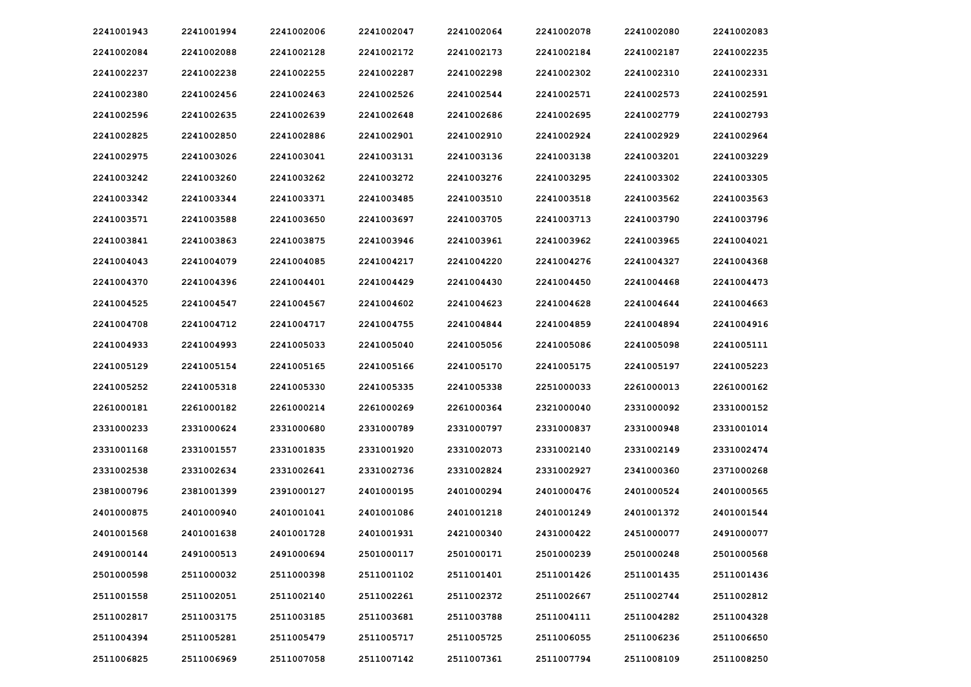| 2241001943 | 2241001994 | 2241002006 | 2241002047 | 2241002064 | 2241002078 | 2241002080 | 2241002083 |
|------------|------------|------------|------------|------------|------------|------------|------------|
| 2241002084 | 2241002088 | 2241002128 | 2241002172 | 2241002173 | 2241002184 | 2241002187 | 2241002235 |
| 2241002237 | 2241002238 | 2241002255 | 2241002287 | 2241002298 | 2241002302 | 2241002310 | 2241002331 |
| 2241002380 | 2241002456 | 2241002463 | 2241002526 | 2241002544 | 2241002571 | 2241002573 | 2241002591 |
| 2241002596 | 2241002635 | 2241002639 | 2241002648 | 2241002686 | 2241002695 | 2241002779 | 2241002793 |
| 2241002825 | 2241002850 | 2241002886 | 2241002901 | 2241002910 | 2241002924 | 2241002929 | 2241002964 |
| 2241002975 | 2241003026 | 2241003041 | 2241003131 | 2241003136 | 2241003138 | 2241003201 | 2241003229 |
| 2241003242 | 2241003260 | 2241003262 | 2241003272 | 2241003276 | 2241003295 | 2241003302 | 2241003305 |
| 2241003342 | 2241003344 | 2241003371 | 2241003485 | 2241003510 | 2241003518 | 2241003562 | 2241003563 |
| 2241003571 | 2241003588 | 2241003650 | 2241003697 | 2241003705 | 2241003713 | 2241003790 | 2241003796 |
| 2241003841 | 2241003863 | 2241003875 | 2241003946 | 2241003961 | 2241003962 | 2241003965 | 2241004021 |
| 2241004043 | 2241004079 | 2241004085 | 2241004217 | 2241004220 | 2241004276 | 2241004327 | 2241004368 |
| 2241004370 | 2241004396 | 2241004401 | 2241004429 | 2241004430 | 2241004450 | 2241004468 | 2241004473 |
| 2241004525 | 2241004547 | 2241004567 | 2241004602 | 2241004623 | 2241004628 | 2241004644 | 2241004663 |
| 2241004708 | 2241004712 | 2241004717 | 2241004755 | 2241004844 | 2241004859 | 2241004894 | 2241004916 |
| 2241004933 | 2241004993 | 2241005033 | 2241005040 | 2241005056 | 2241005086 | 2241005098 | 2241005111 |
| 2241005129 | 2241005154 | 2241005165 | 2241005166 | 2241005170 | 2241005175 | 2241005197 | 2241005223 |
| 2241005252 | 2241005318 | 2241005330 | 2241005335 | 2241005338 | 2251000033 | 2261000013 | 2261000162 |
| 2261000181 | 2261000182 | 2261000214 | 2261000269 | 2261000364 | 2321000040 | 2331000092 | 2331000152 |
| 2331000233 | 2331000624 | 2331000680 | 2331000789 | 2331000797 | 2331000837 | 2331000948 | 2331001014 |
| 2331001168 | 2331001557 | 2331001835 | 2331001920 | 2331002073 | 2331002140 | 2331002149 | 2331002474 |
| 2331002538 | 2331002634 | 2331002641 | 2331002736 | 2331002824 | 2331002927 | 2341000360 | 2371000268 |
| 2381000796 | 2381001399 | 2391000127 | 2401000195 | 2401000294 | 2401000476 | 2401000524 | 2401000565 |
| 2401000875 | 2401000940 | 2401001041 | 2401001086 | 2401001218 | 2401001249 | 2401001372 | 2401001544 |
| 2401001568 | 2401001638 | 2401001728 | 2401001931 | 2421000340 | 2431000422 | 2451000077 | 2491000077 |
| 2491000144 | 2491000513 | 2491000694 | 2501000117 | 2501000171 | 2501000239 | 2501000248 | 2501000568 |
| 2501000598 | 2511000032 | 2511000398 | 2511001102 | 2511001401 | 2511001426 | 2511001435 | 2511001436 |
| 2511001558 | 2511002051 | 2511002140 | 2511002261 | 2511002372 | 2511002667 | 2511002744 | 2511002812 |
| 2511002817 | 2511003175 | 2511003185 | 2511003681 | 2511003788 | 2511004111 | 2511004282 | 2511004328 |
| 2511004394 | 2511005281 | 2511005479 | 2511005717 | 2511005725 | 2511006055 | 2511006236 | 2511006650 |
| 2511006825 | 2511006969 | 2511007058 | 2511007142 | 2511007361 | 2511007794 | 2511008109 | 2511008250 |